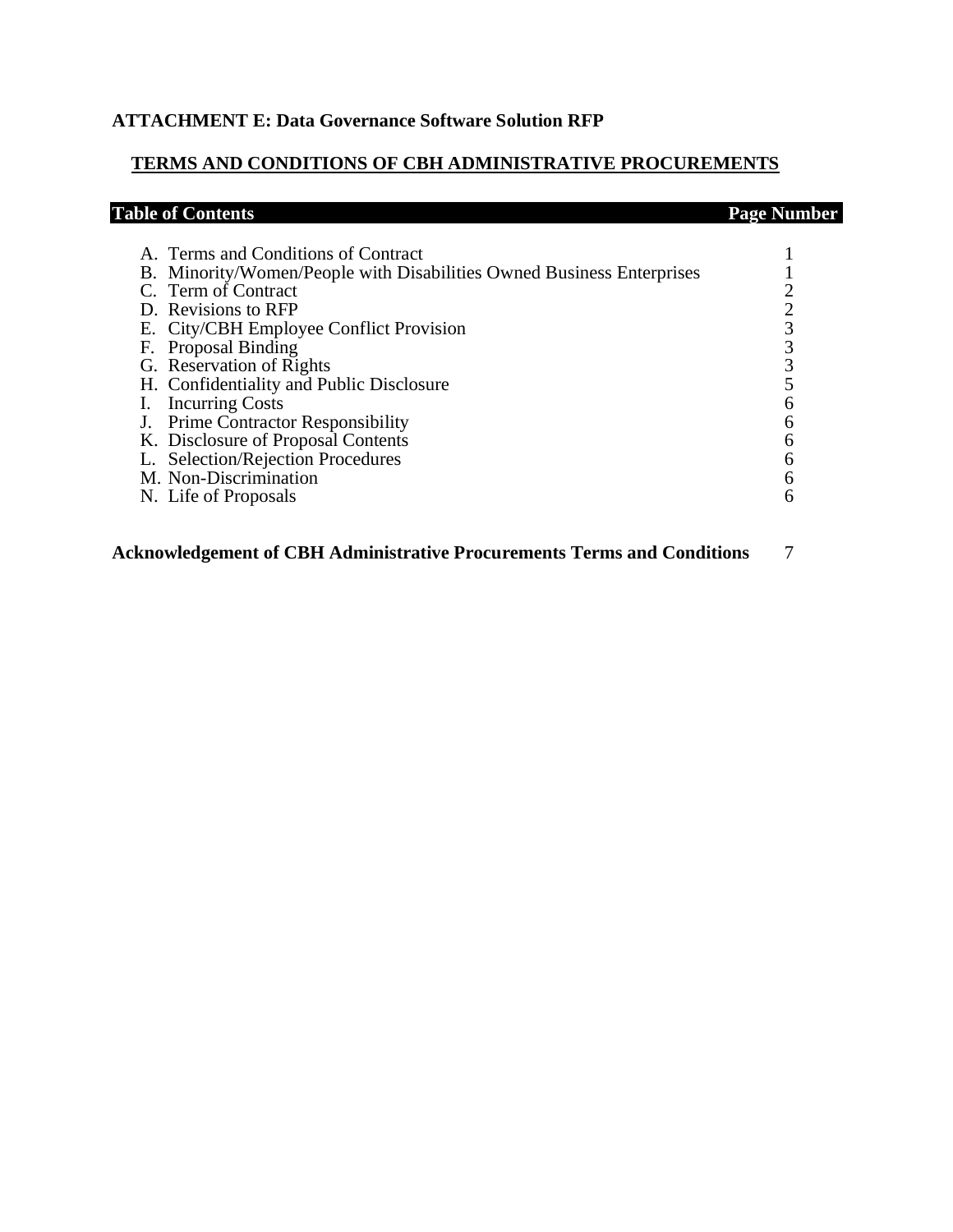# **ATTACHMENT E: Data Governance Software Solution RFP**

# **TERMS AND CONDITIONS OF CBH ADMINISTRATIVE PROCUREMENTS**

| <b>Table of Contents</b>                                              | <b>Page Number</b> |
|-----------------------------------------------------------------------|--------------------|
| A. Terms and Conditions of Contract                                   |                    |
|                                                                       |                    |
| B. Minority/Women/People with Disabilities Owned Business Enterprises |                    |
| C. Term of Contract                                                   |                    |
| D. Revisions to RFP                                                   |                    |
| E. City/CBH Employee Conflict Provision                               |                    |
| F. Proposal Binding                                                   |                    |
| G. Reservation of Rights                                              |                    |
| H. Confidentiality and Public Disclosure                              |                    |
| I. Incurring Costs                                                    | h                  |
| J. Prime Contractor Responsibility                                    |                    |
| K. Disclosure of Proposal Contents                                    |                    |
| L. Selection/Rejection Procedures                                     |                    |
| M. Non-Discrimination                                                 | 6                  |
| N. Life of Proposals                                                  | 6                  |
|                                                                       |                    |

**Acknowledgement of CBH Administrative Procurements Terms and Conditions** 7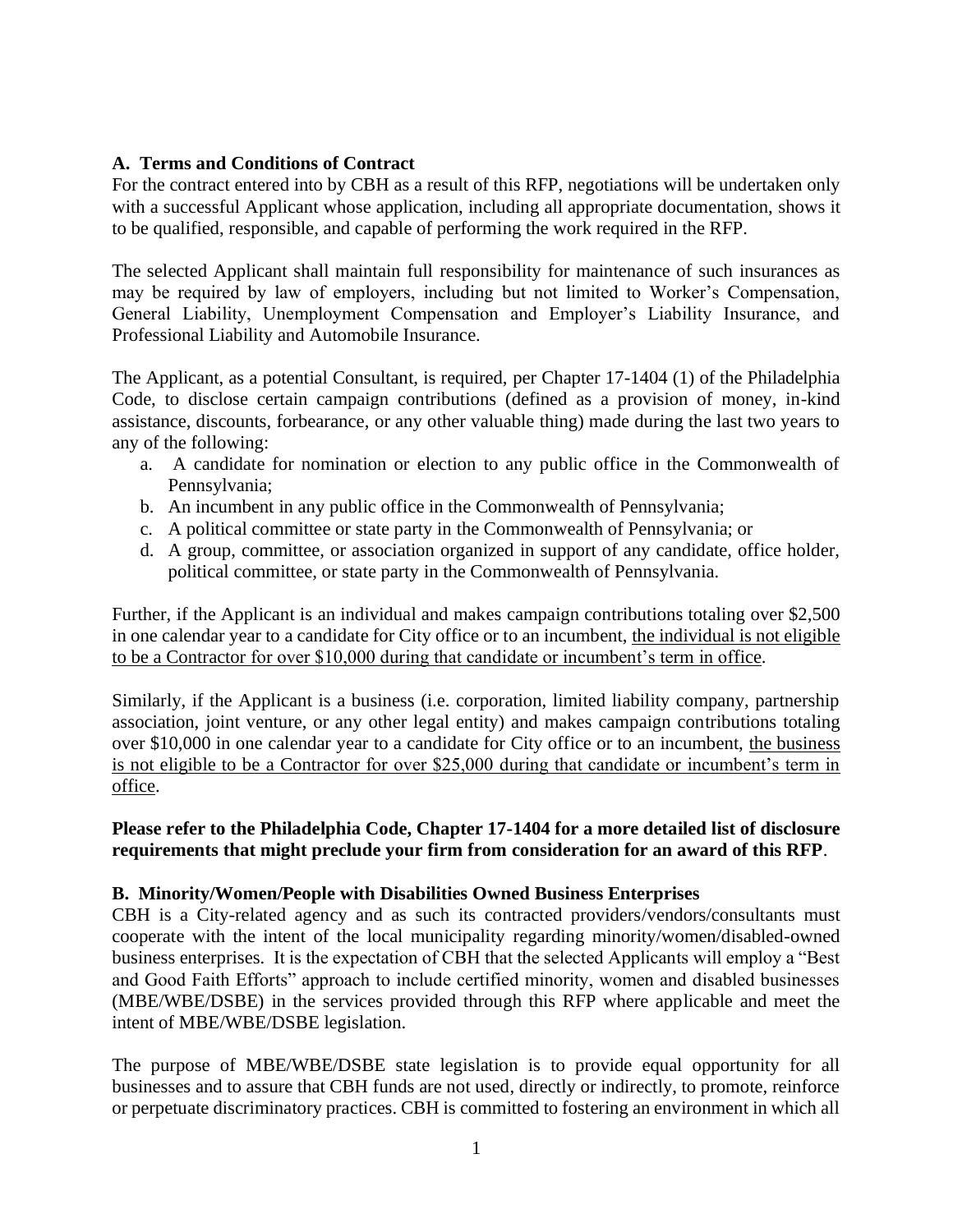# **A. Terms and Conditions of Contract**

For the contract entered into by CBH as a result of this RFP, negotiations will be undertaken only with a successful Applicant whose application, including all appropriate documentation, shows it to be qualified, responsible, and capable of performing the work required in the RFP.

The selected Applicant shall maintain full responsibility for maintenance of such insurances as may be required by law of employers, including but not limited to Worker's Compensation, General Liability, Unemployment Compensation and Employer's Liability Insurance, and Professional Liability and Automobile Insurance.

The Applicant, as a potential Consultant, is required, per Chapter 17-1404 (1) of the Philadelphia Code, to disclose certain campaign contributions (defined as a provision of money, in-kind assistance, discounts, forbearance, or any other valuable thing) made during the last two years to any of the following:

- a. A candidate for nomination or election to any public office in the Commonwealth of Pennsylvania;
- b. An incumbent in any public office in the Commonwealth of Pennsylvania;
- c. A political committee or state party in the Commonwealth of Pennsylvania; or
- d. A group, committee, or association organized in support of any candidate, office holder, political committee, or state party in the Commonwealth of Pennsylvania.

Further, if the Applicant is an individual and makes campaign contributions totaling over \$2,500 in one calendar year to a candidate for City office or to an incumbent, the individual is not eligible to be a Contractor for over \$10,000 during that candidate or incumbent's term in office.

Similarly, if the Applicant is a business (i.e. corporation, limited liability company, partnership association, joint venture, or any other legal entity) and makes campaign contributions totaling over \$10,000 in one calendar year to a candidate for City office or to an incumbent, the business is not eligible to be a Contractor for over \$25,000 during that candidate or incumbent's term in office.

**Please refer to the Philadelphia Code, Chapter 17-1404 for a more detailed list of disclosure requirements that might preclude your firm from consideration for an award of this RFP**.

#### **B. Minority/Women/People with Disabilities Owned Business Enterprises**

CBH is a City-related agency and as such its contracted providers/vendors/consultants must cooperate with the intent of the local municipality regarding minority/women/disabled-owned business enterprises. It is the expectation of CBH that the selected Applicants will employ a "Best and Good Faith Efforts" approach to include certified minority, women and disabled businesses (MBE/WBE/DSBE) in the services provided through this RFP where applicable and meet the intent of MBE/WBE/DSBE legislation.

The purpose of MBE/WBE/DSBE state legislation is to provide equal opportunity for all businesses and to assure that CBH funds are not used, directly or indirectly, to promote, reinforce or perpetuate discriminatory practices. CBH is committed to fostering an environment in which all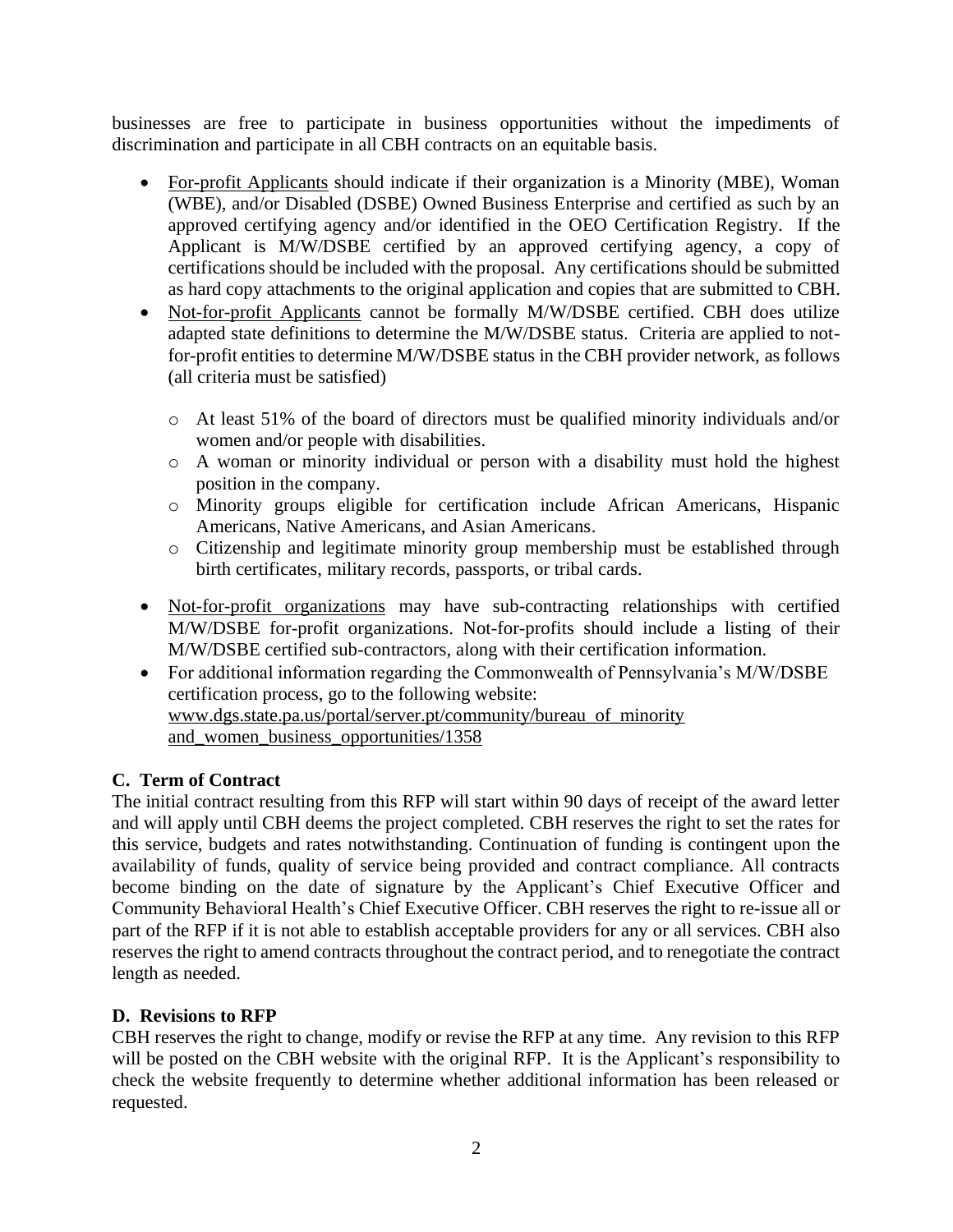businesses are free to participate in business opportunities without the impediments of discrimination and participate in all CBH contracts on an equitable basis.

- For-profit Applicants should indicate if their organization is a Minority (MBE), Woman (WBE), and/or Disabled (DSBE) Owned Business Enterprise and certified as such by an approved certifying agency and/or identified in the OEO Certification Registry. If the Applicant is M/W/DSBE certified by an approved certifying agency, a copy of certifications should be included with the proposal. Any certifications should be submitted as hard copy attachments to the original application and copies that are submitted to CBH.
- Not-for-profit Applicants cannot be formally M/W/DSBE certified. CBH does utilize adapted state definitions to determine the M/W/DSBE status. Criteria are applied to notfor-profit entities to determine M/W/DSBE status in the CBH provider network, as follows (all criteria must be satisfied)
	- o At least 51% of the board of directors must be qualified minority individuals and/or women and/or people with disabilities.
	- o A woman or minority individual or person with a disability must hold the highest position in the company.
	- o Minority groups eligible for certification include African Americans, Hispanic Americans, Native Americans, and Asian Americans.
	- o Citizenship and legitimate minority group membership must be established through birth certificates, military records, passports, or tribal cards.
- Not-for-profit organizations may have sub-contracting relationships with certified M/W/DSBE for-profit organizations. Not-for-profits should include a listing of their M/W/DSBE certified sub-contractors, along with their certification information.
- For additional information regarding the Commonwealth of Pennsylvania's M/W/DSBE certification process, go to the following website: [www.dgs.state.pa.us/portal/server.pt/community/bureau\\_of\\_minority](http://www.dgs.state.pa.us/portal/server.pt/community/bureau_of_minority%20and_women_business_opportunities/1358)  [and\\_women\\_business\\_opportunities/1358](http://www.dgs.state.pa.us/portal/server.pt/community/bureau_of_minority%20and_women_business_opportunities/1358)

# **C. Term of Contract**

The initial contract resulting from this RFP will start within 90 days of receipt of the award letter and will apply until CBH deems the project completed. CBH reserves the right to set the rates for this service, budgets and rates notwithstanding. Continuation of funding is contingent upon the availability of funds, quality of service being provided and contract compliance. All contracts become binding on the date of signature by the Applicant's Chief Executive Officer and Community Behavioral Health's Chief Executive Officer. CBH reserves the right to re-issue all or part of the RFP if it is not able to establish acceptable providers for any or all services. CBH also reserves the right to amend contracts throughout the contract period, and to renegotiate the contract length as needed.

# **D. Revisions to RFP**

CBH reserves the right to change, modify or revise the RFP at any time. Any revision to this RFP will be posted on the CBH website with the original RFP. It is the Applicant's responsibility to check the website frequently to determine whether additional information has been released or requested.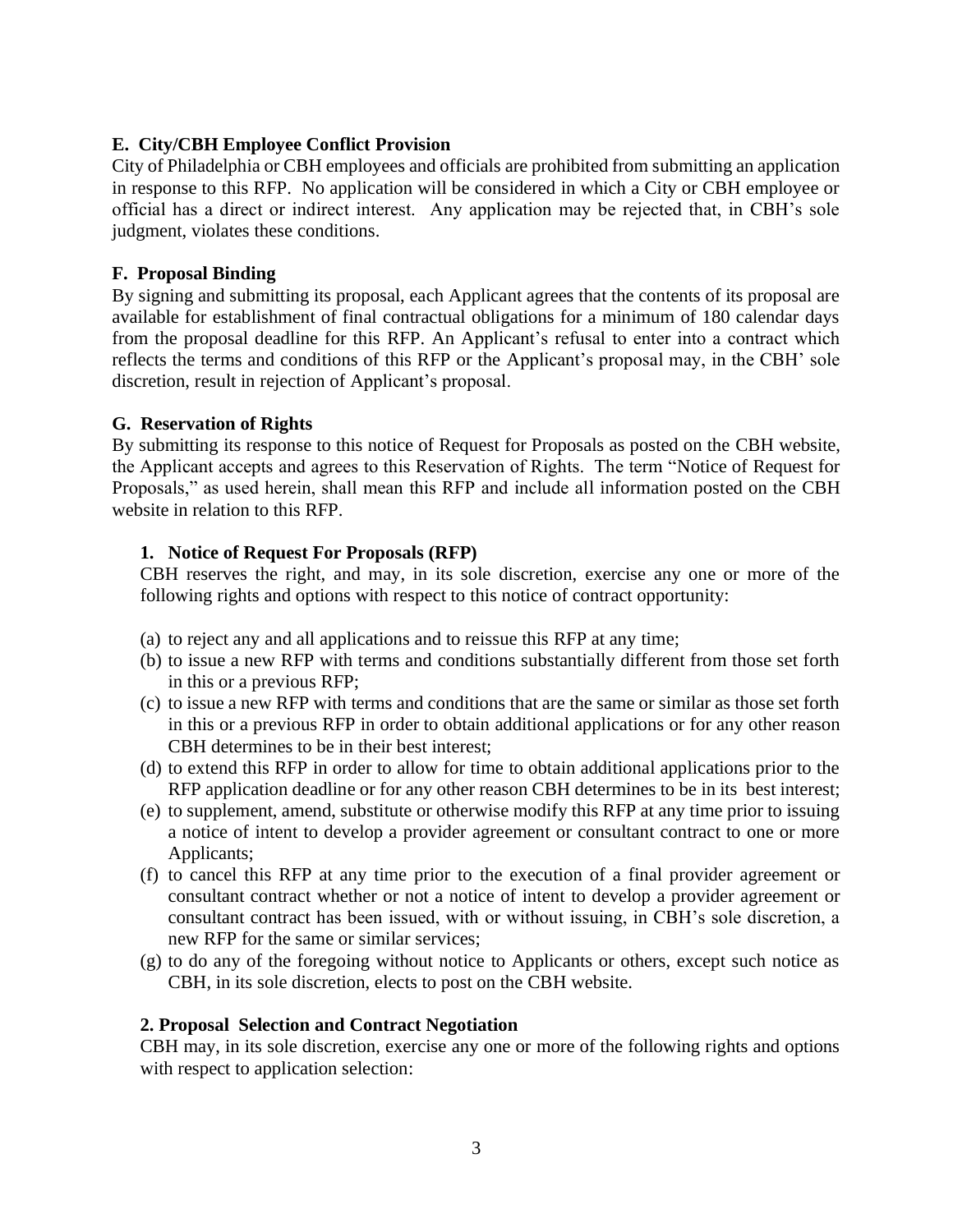# **E. City/CBH Employee Conflict Provision**

City of Philadelphia or CBH employees and officials are prohibited from submitting an application in response to this RFP. No application will be considered in which a City or CBH employee or official has a direct or indirect interest. Any application may be rejected that, in CBH's sole judgment, violates these conditions.

# **F. Proposal Binding**

By signing and submitting its proposal, each Applicant agrees that the contents of its proposal are available for establishment of final contractual obligations for a minimum of 180 calendar days from the proposal deadline for this RFP. An Applicant's refusal to enter into a contract which reflects the terms and conditions of this RFP or the Applicant's proposal may, in the CBH' sole discretion, result in rejection of Applicant's proposal.

## **G. Reservation of Rights**

By submitting its response to this notice of Request for Proposals as posted on the CBH website, the Applicant accepts and agrees to this Reservation of Rights. The term "Notice of Request for Proposals," as used herein, shall mean this RFP and include all information posted on the CBH website in relation to this RFP.

## **1. Notice of Request For Proposals (RFP)**

CBH reserves the right, and may, in its sole discretion, exercise any one or more of the following rights and options with respect to this notice of contract opportunity:

- (a) to reject any and all applications and to reissue this RFP at any time;
- (b) to issue a new RFP with terms and conditions substantially different from those set forth in this or a previous RFP;
- (c) to issue a new RFP with terms and conditions that are the same or similar as those set forth in this or a previous RFP in order to obtain additional applications or for any other reason CBH determines to be in their best interest;
- (d) to extend this RFP in order to allow for time to obtain additional applications prior to the RFP application deadline or for any other reason CBH determines to be in its best interest;
- (e) to supplement, amend, substitute or otherwise modify this RFP at any time prior to issuing a notice of intent to develop a provider agreement or consultant contract to one or more Applicants;
- (f) to cancel this RFP at any time prior to the execution of a final provider agreement or consultant contract whether or not a notice of intent to develop a provider agreement or consultant contract has been issued, with or without issuing, in CBH's sole discretion, a new RFP for the same or similar services;
- (g) to do any of the foregoing without notice to Applicants or others, except such notice as CBH, in its sole discretion, elects to post on the CBH website.

#### **2. Proposal Selection and Contract Negotiation**

CBH may, in its sole discretion, exercise any one or more of the following rights and options with respect to application selection: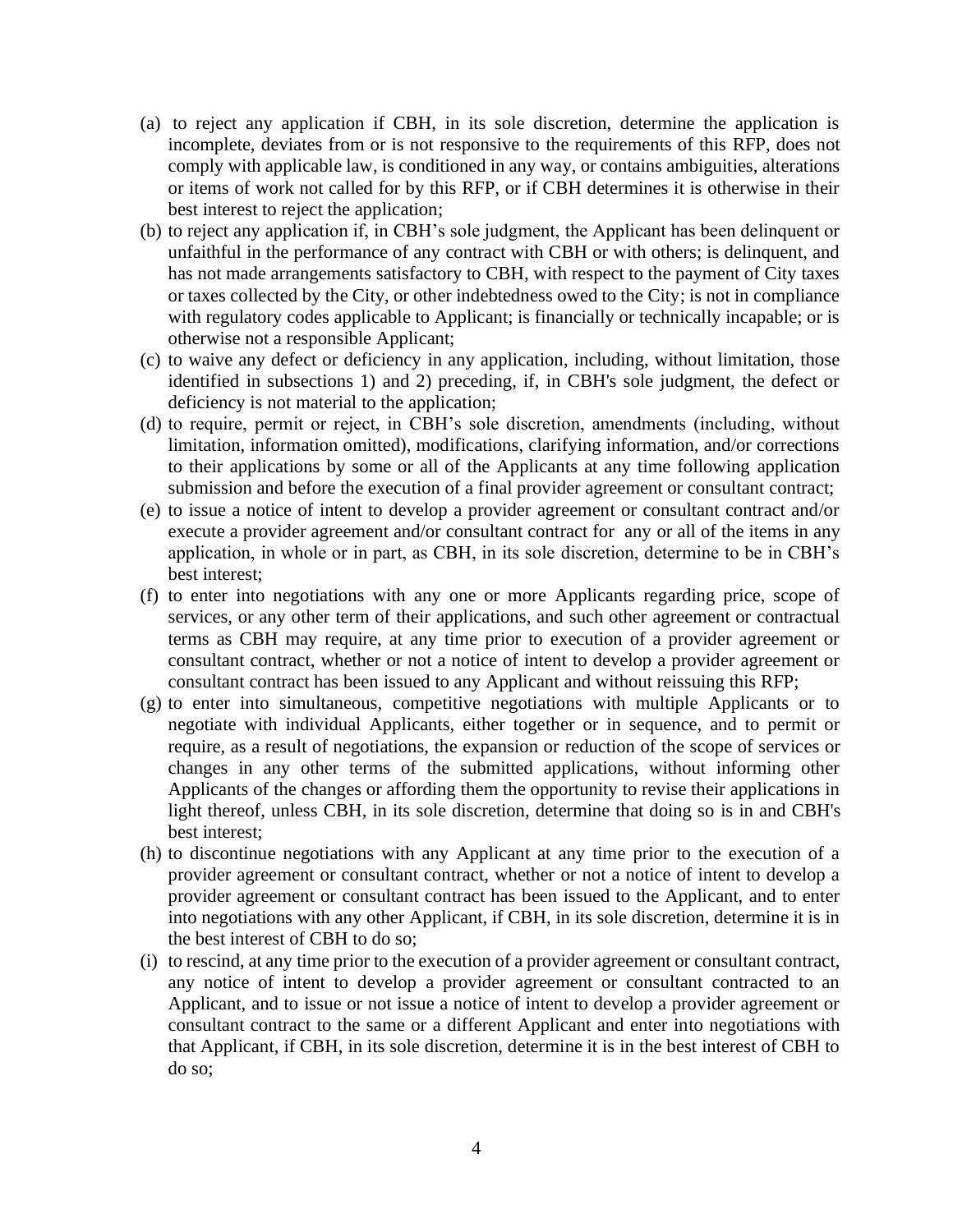- (a) to reject any application if CBH, in its sole discretion, determine the application is incomplete, deviates from or is not responsive to the requirements of this RFP, does not comply with applicable law, is conditioned in any way, or contains ambiguities, alterations or items of work not called for by this RFP, or if CBH determines it is otherwise in their best interest to reject the application;
- (b) to reject any application if, in CBH's sole judgment, the Applicant has been delinquent or unfaithful in the performance of any contract with CBH or with others; is delinquent, and has not made arrangements satisfactory to CBH, with respect to the payment of City taxes or taxes collected by the City, or other indebtedness owed to the City; is not in compliance with regulatory codes applicable to Applicant; is financially or technically incapable; or is otherwise not a responsible Applicant;
- (c) to waive any defect or deficiency in any application, including, without limitation, those identified in subsections 1) and 2) preceding, if, in CBH's sole judgment, the defect or deficiency is not material to the application;
- (d) to require, permit or reject, in CBH's sole discretion, amendments (including, without limitation, information omitted), modifications, clarifying information, and/or corrections to their applications by some or all of the Applicants at any time following application submission and before the execution of a final provider agreement or consultant contract;
- (e) to issue a notice of intent to develop a provider agreement or consultant contract and/or execute a provider agreement and/or consultant contract for any or all of the items in any application, in whole or in part, as CBH, in its sole discretion, determine to be in CBH's best interest;
- (f) to enter into negotiations with any one or more Applicants regarding price, scope of services, or any other term of their applications, and such other agreement or contractual terms as CBH may require, at any time prior to execution of a provider agreement or consultant contract, whether or not a notice of intent to develop a provider agreement or consultant contract has been issued to any Applicant and without reissuing this RFP;
- (g) to enter into simultaneous, competitive negotiations with multiple Applicants or to negotiate with individual Applicants, either together or in sequence, and to permit or require, as a result of negotiations, the expansion or reduction of the scope of services or changes in any other terms of the submitted applications, without informing other Applicants of the changes or affording them the opportunity to revise their applications in light thereof, unless CBH, in its sole discretion, determine that doing so is in and CBH's best interest;
- (h) to discontinue negotiations with any Applicant at any time prior to the execution of a provider agreement or consultant contract, whether or not a notice of intent to develop a provider agreement or consultant contract has been issued to the Applicant, and to enter into negotiations with any other Applicant, if CBH, in its sole discretion, determine it is in the best interest of CBH to do so;
- (i) to rescind, at any time prior to the execution of a provider agreement or consultant contract, any notice of intent to develop a provider agreement or consultant contracted to an Applicant, and to issue or not issue a notice of intent to develop a provider agreement or consultant contract to the same or a different Applicant and enter into negotiations with that Applicant, if CBH, in its sole discretion, determine it is in the best interest of CBH to do so;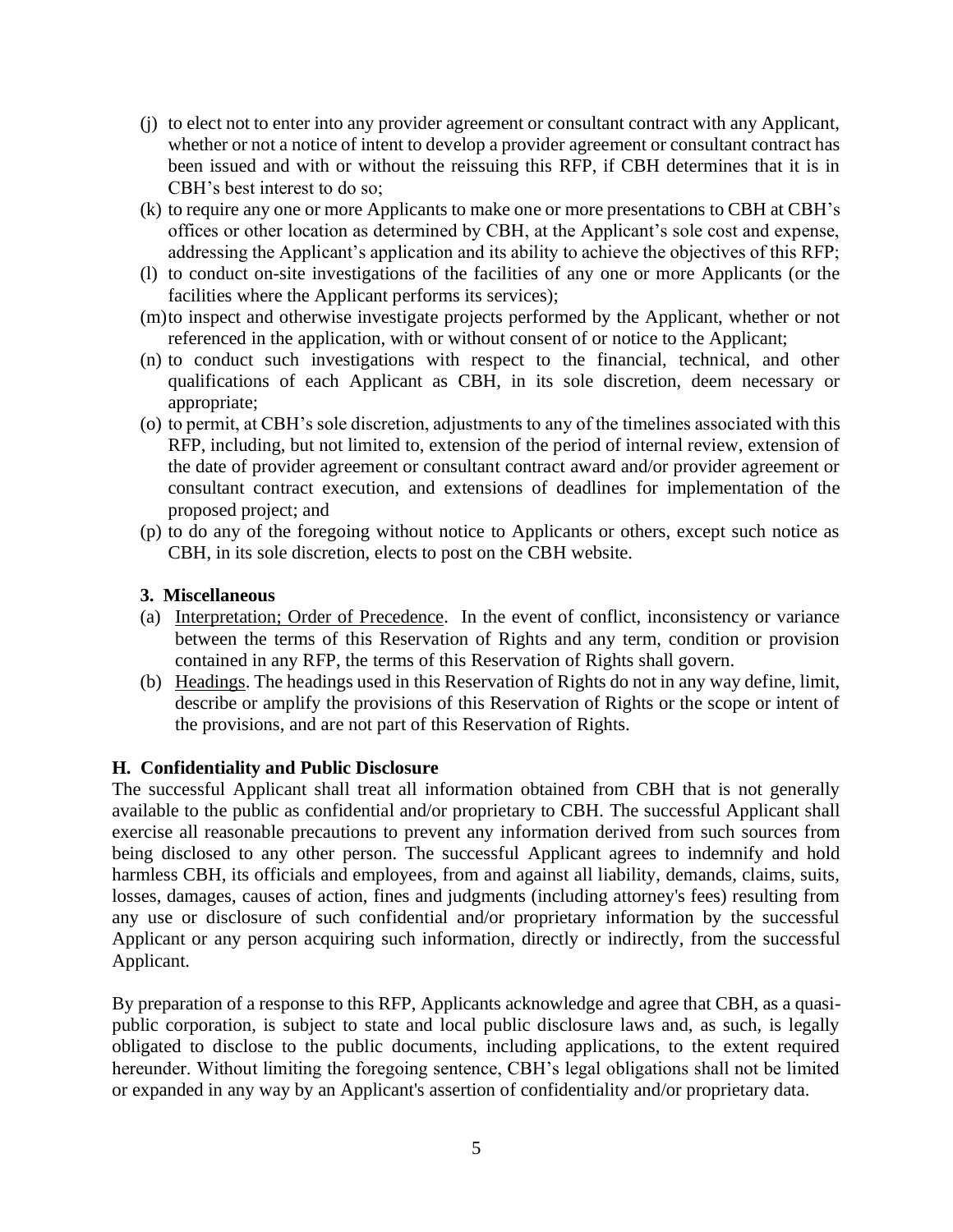- (j) to elect not to enter into any provider agreement or consultant contract with any Applicant, whether or not a notice of intent to develop a provider agreement or consultant contract has been issued and with or without the reissuing this RFP, if CBH determines that it is in CBH's best interest to do so;
- (k) to require any one or more Applicants to make one or more presentations to CBH at CBH's offices or other location as determined by CBH, at the Applicant's sole cost and expense, addressing the Applicant's application and its ability to achieve the objectives of this RFP;
- (l) to conduct on-site investigations of the facilities of any one or more Applicants (or the facilities where the Applicant performs its services);
- (m)to inspect and otherwise investigate projects performed by the Applicant, whether or not referenced in the application, with or without consent of or notice to the Applicant;
- (n) to conduct such investigations with respect to the financial, technical, and other qualifications of each Applicant as CBH, in its sole discretion, deem necessary or appropriate;
- (o) to permit, at CBH's sole discretion, adjustments to any of the timelines associated with this RFP, including, but not limited to, extension of the period of internal review, extension of the date of provider agreement or consultant contract award and/or provider agreement or consultant contract execution, and extensions of deadlines for implementation of the proposed project; and
- (p) to do any of the foregoing without notice to Applicants or others, except such notice as CBH, in its sole discretion, elects to post on the CBH website.

## **3. Miscellaneous**

- (a) Interpretation; Order of Precedence. In the event of conflict, inconsistency or variance between the terms of this Reservation of Rights and any term, condition or provision contained in any RFP, the terms of this Reservation of Rights shall govern.
- (b) Headings. The headings used in this Reservation of Rights do not in any way define, limit, describe or amplify the provisions of this Reservation of Rights or the scope or intent of the provisions, and are not part of this Reservation of Rights.

#### **H. Confidentiality and Public Disclosure**

The successful Applicant shall treat all information obtained from CBH that is not generally available to the public as confidential and/or proprietary to CBH. The successful Applicant shall exercise all reasonable precautions to prevent any information derived from such sources from being disclosed to any other person. The successful Applicant agrees to indemnify and hold harmless CBH, its officials and employees, from and against all liability, demands, claims, suits, losses, damages, causes of action, fines and judgments (including attorney's fees) resulting from any use or disclosure of such confidential and/or proprietary information by the successful Applicant or any person acquiring such information, directly or indirectly, from the successful Applicant.

By preparation of a response to this RFP, Applicants acknowledge and agree that CBH, as a quasipublic corporation, is subject to state and local public disclosure laws and, as such, is legally obligated to disclose to the public documents, including applications, to the extent required hereunder. Without limiting the foregoing sentence, CBH's legal obligations shall not be limited or expanded in any way by an Applicant's assertion of confidentiality and/or proprietary data.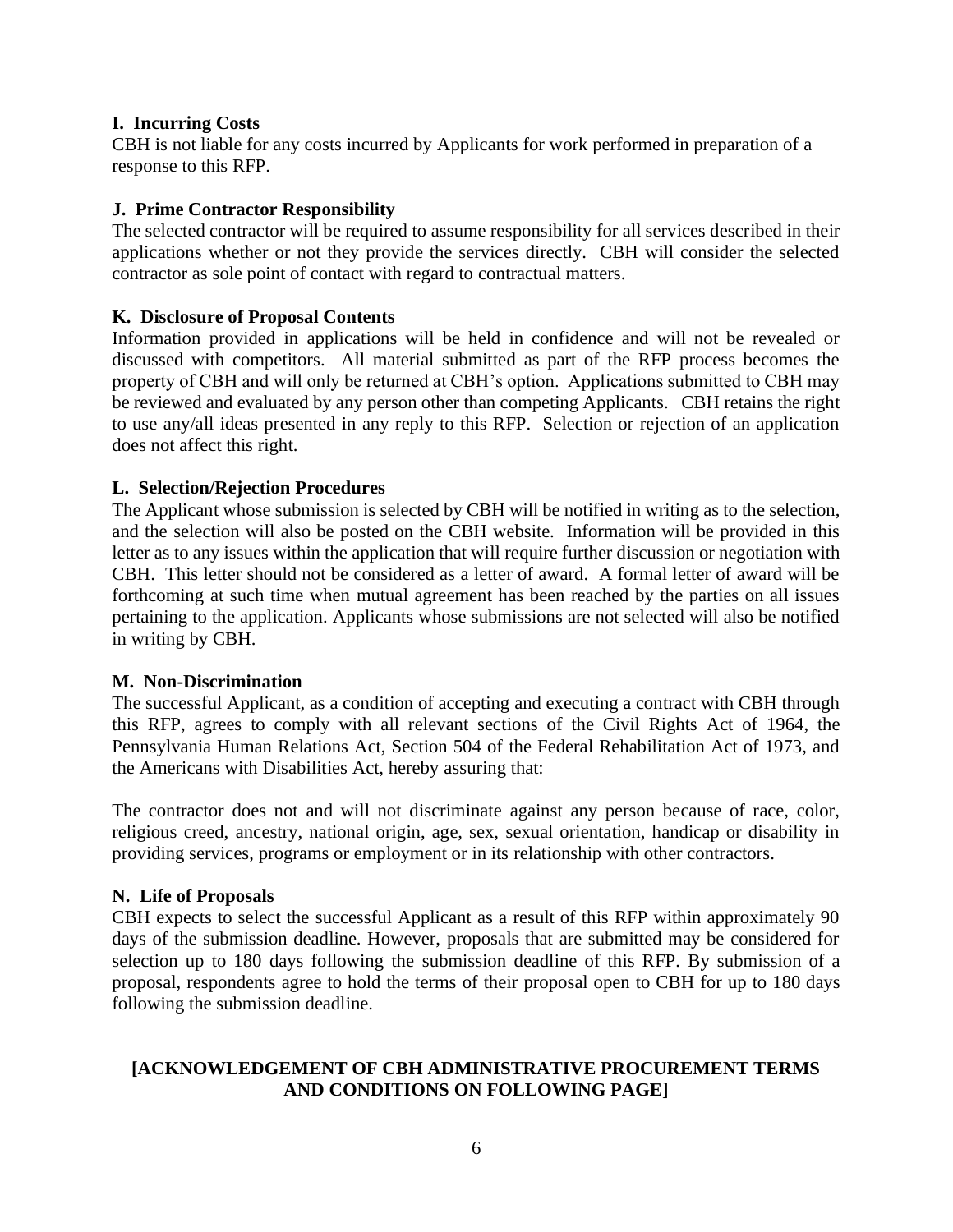## **I. Incurring Costs**

CBH is not liable for any costs incurred by Applicants for work performed in preparation of a response to this RFP.

# **J. Prime Contractor Responsibility**

The selected contractor will be required to assume responsibility for all services described in their applications whether or not they provide the services directly. CBH will consider the selected contractor as sole point of contact with regard to contractual matters.

## **K. Disclosure of Proposal Contents**

Information provided in applications will be held in confidence and will not be revealed or discussed with competitors. All material submitted as part of the RFP process becomes the property of CBH and will only be returned at CBH's option. Applications submitted to CBH may be reviewed and evaluated by any person other than competing Applicants. CBH retains the right to use any/all ideas presented in any reply to this RFP. Selection or rejection of an application does not affect this right.

## **L. Selection/Rejection Procedures**

The Applicant whose submission is selected by CBH will be notified in writing as to the selection, and the selection will also be posted on the CBH website. Information will be provided in this letter as to any issues within the application that will require further discussion or negotiation with CBH. This letter should not be considered as a letter of award. A formal letter of award will be forthcoming at such time when mutual agreement has been reached by the parties on all issues pertaining to the application. Applicants whose submissions are not selected will also be notified in writing by CBH.

#### **M. Non-Discrimination**

The successful Applicant, as a condition of accepting and executing a contract with CBH through this RFP, agrees to comply with all relevant sections of the Civil Rights Act of 1964, the Pennsylvania Human Relations Act, Section 504 of the Federal Rehabilitation Act of 1973, and the Americans with Disabilities Act, hereby assuring that:

The contractor does not and will not discriminate against any person because of race, color, religious creed, ancestry, national origin, age, sex, sexual orientation, handicap or disability in providing services, programs or employment or in its relationship with other contractors.

#### **N. Life of Proposals**

CBH expects to select the successful Applicant as a result of this RFP within approximately 90 days of the submission deadline. However, proposals that are submitted may be considered for selection up to 180 days following the submission deadline of this RFP*.* By submission of a proposal, respondents agree to hold the terms of their proposal open to CBH for up to 180 days following the submission deadline.

## **[ACKNOWLEDGEMENT OF CBH ADMINISTRATIVE PROCUREMENT TERMS AND CONDITIONS ON FOLLOWING PAGE]**